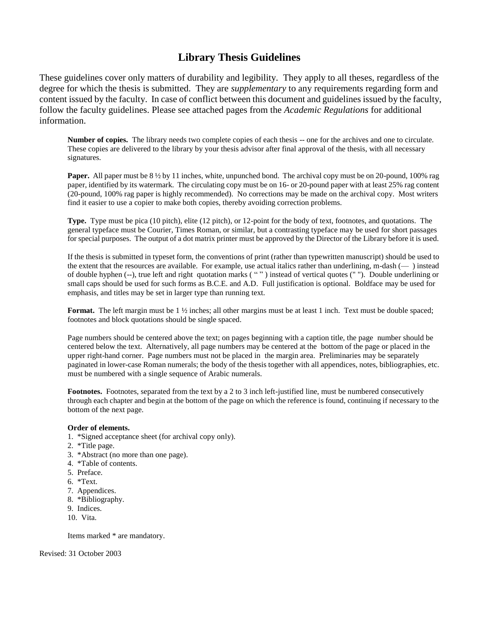## **Library Thesis Guidelines**

These guidelines cover only matters of durability and legibility. They apply to all theses, regardless of the degree for which the thesis is submitted. They are *supplementary* to any requirements regarding form and content issued by the faculty. In case of conflict between this document and guidelines issued by the faculty, follow the faculty guidelines. Please see attached pages from the *Academic Regulations* for additional information.

**Number of copies.** The library needs two complete copies of each thesis -- one for the archives and one to circulate. These copies are delivered to the library by your thesis advisor after final approval of the thesis, with all necessary signatures.

**Paper.** All paper must be 8  $\frac{1}{2}$  by 11 inches, white, unpunched bond. The archival copy must be on 20-pound, 100% rag paper, identified by its watermark. The circulating copy must be on 16- or 20-pound paper with at least 25% rag content (20-pound, 100% rag paper is highly recommended). No corrections may be made on the archival copy. Most writers find it easier to use a copier to make both copies, thereby avoiding correction problems.

**Type.** Type must be pica (10 pitch), elite (12 pitch), or 12-point for the body of text, footnotes, and quotations. The general typeface must be Courier, Times Roman, or similar, but a contrasting typeface may be used for short passages for special purposes. The output of a dot matrix printer must be approved by the Director of the Library before it is used.

If the thesis is submitted in typeset form, the conventions of print (rather than typewritten manuscript) should be used to the extent that the resources are available. For example, use actual italics rather than underlining, m-dash (— ) instead of double hyphen (--), true left and right quotation marks ( " " ) instead of vertical quotes (" "). Double underlining or small caps should be used for such forms as B.C.E. and A.D. Full justification is optional. Boldface may be used for emphasis, and titles may be set in larger type than running text.

**Format.** The left margin must be 1  $\frac{1}{2}$  inches; all other margins must be at least 1 inch. Text must be double spaced; footnotes and block quotations should be single spaced.

Page numbers should be centered above the text; on pages beginning with a caption title, the page number should be centered below the text. Alternatively, all page numbers may be centered at the bottom of the page or placed in the upper right-hand corner. Page numbers must not be placed in the margin area. Preliminaries may be separately paginated in lower-case Roman numerals; the body of the thesis together with all appendices, notes, bibliographies, etc. must be numbered with a single sequence of Arabic numerals.

**Footnotes.** Footnotes, separated from the text by a 2 to 3 inch left-justified line, must be numbered consecutively through each chapter and begin at the bottom of the page on which the reference is found, continuing if necessary to the bottom of the next page.

## **Order of elements.**

- 1. \*Signed acceptance sheet (for archival copy only).
- 2. \*Title page.
- 3. \*Abstract (no more than one page).
- 4. \*Table of contents.
- 5. Preface.
- 6. \*Text.
- 7. Appendices.
- 8. \*Bibliography.
- 9. Indices.
- 10. Vita.

Items marked \* are mandatory.

Revised: 31 October 2003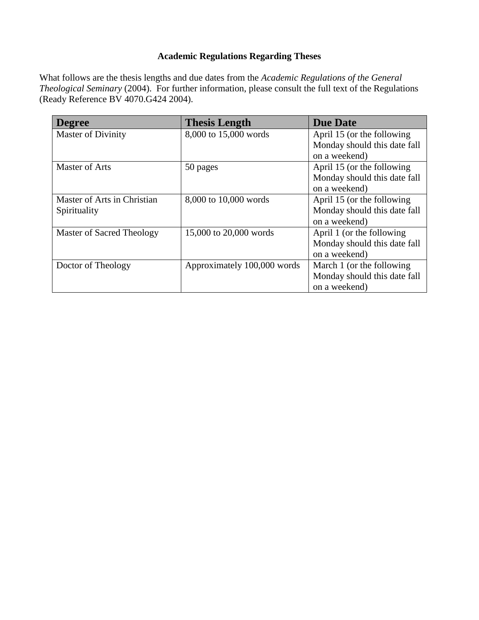## **Academic Regulations Regarding Theses**

What follows are the thesis lengths and due dates from the *Academic Regulations of the General Theological Seminary* (2004). For further information, please consult the full text of the Regulations (Ready Reference BV 4070.G424 2004).

| <b>Degree</b>               | <b>Thesis Length</b>        | <b>Due Date</b>              |
|-----------------------------|-----------------------------|------------------------------|
| <b>Master of Divinity</b>   | 8,000 to 15,000 words       | April 15 (or the following   |
|                             |                             | Monday should this date fall |
|                             |                             | on a weekend)                |
| <b>Master of Arts</b>       | 50 pages                    | April 15 (or the following   |
|                             |                             | Monday should this date fall |
|                             |                             | on a weekend)                |
| Master of Arts in Christian | 8,000 to 10,000 words       | April 15 (or the following   |
| Spirituality                |                             | Monday should this date fall |
|                             |                             | on a weekend)                |
| Master of Sacred Theology   | 15,000 to 20,000 words      | April 1 (or the following    |
|                             |                             | Monday should this date fall |
|                             |                             | on a weekend)                |
| Doctor of Theology          | Approximately 100,000 words | March 1 (or the following    |
|                             |                             | Monday should this date fall |
|                             |                             | on a weekend)                |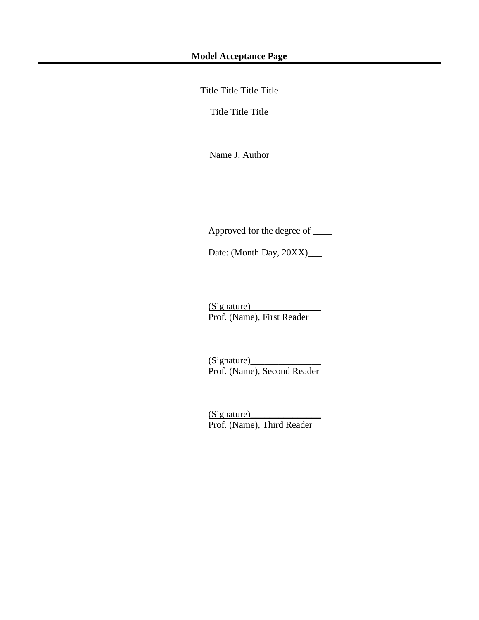Title Title Title Title

Title Title Title

Name J. Author

Approved for the degree of \_\_\_\_

Date: (Month Day, 20XX)\_\_\_\_\_

(Signature)\_\_\_\_\_\_\_\_\_\_\_\_\_\_\_ Prof. (Name), First Reader

(Signature)\_\_\_\_\_\_\_\_\_\_\_\_\_\_\_ Prof. (Name), Second Reader

(Signature)\_\_\_\_\_\_\_\_\_\_\_\_\_\_\_ Prof. (Name), Third Reader